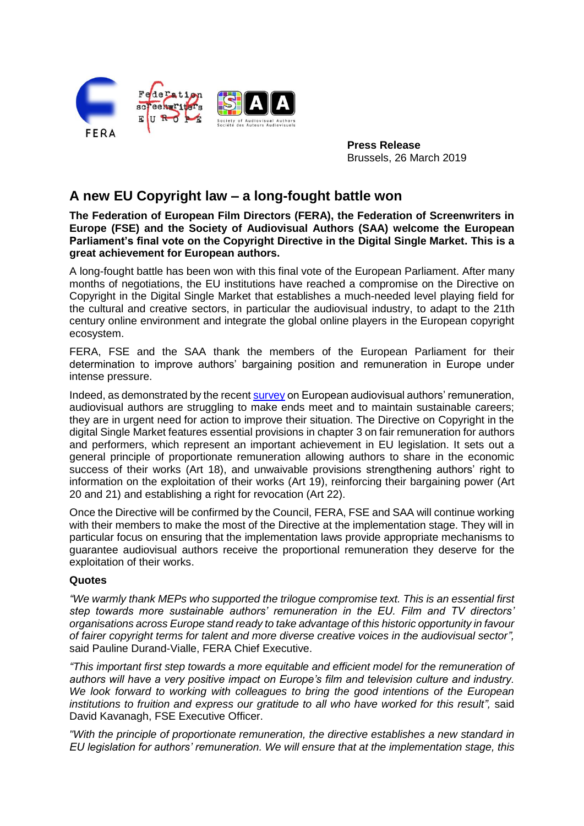

**Press Release** Brussels, 26 March 2019

## **A new EU Copyright law – a long-fought battle won**

**The Federation of European Film Directors (FERA), the Federation of Screenwriters in Europe (FSE) and the Society of Audiovisual Authors (SAA) welcome the European Parliament's final vote on the Copyright Directive in the Digital Single Market. This is a great achievement for European authors.**

A long-fought battle has been won with this final vote of the European Parliament. After many months of negotiations, the EU institutions have reached a compromise on the Directive on Copyright in the Digital Single Market that establishes a much-needed level playing field for the cultural and creative sectors, in particular the audiovisual industry, to adapt to the 21th century online environment and integrate the global online players in the European copyright ecosystem.

FERA, FSE and the SAA thank the members of the European Parliament for their determination to improve authors' bargaining position and remuneration in Europe under intense pressure.

Indeed, as demonstrated by the recent [survey](http://www.filmdirectors.eu/wp-content/uploads/2019/03/EU-AV-authors-remuneration-study_summary-leaflet-2019-FINAL.pdf) on European audiovisual authors' remuneration, audiovisual authors are struggling to make ends meet and to maintain sustainable careers; they are in urgent need for action to improve their situation. The Directive on Copyright in the digital Single Market features essential provisions in chapter 3 on fair remuneration for authors and performers, which represent an important achievement in EU legislation. It sets out a general principle of proportionate remuneration allowing authors to share in the economic success of their works (Art 18), and unwaivable provisions strengthening authors' right to information on the exploitation of their works (Art 19), reinforcing their bargaining power (Art 20 and 21) and establishing a right for revocation (Art 22).

Once the Directive will be confirmed by the Council, FERA, FSE and SAA will continue working with their members to make the most of the Directive at the implementation stage. They will in particular focus on ensuring that the implementation laws provide appropriate mechanisms to guarantee audiovisual authors receive the proportional remuneration they deserve for the exploitation of their works.

## **Quotes**

*"We warmly thank MEPs who supported the trilogue compromise text. This is an essential first step towards more sustainable authors' remuneration in the EU. Film and TV directors' organisations across Europe stand ready to take advantage of this historic opportunity in favour of fairer copyright terms for talent and more diverse creative voices in the audiovisual sector",*  said Pauline Durand-Vialle, FERA Chief Executive.

*"This important first step towards a more equitable and efficient model for the remuneration of authors will have a very positive impact on Europe's film and television culture and industry. We look forward to working with colleagues to bring the good intentions of the European institutions to fruition and express our gratitude to all who have worked for this result",* said David Kavanagh, FSE Executive Officer.

*"With the principle of proportionate remuneration, the directive establishes a new standard in EU legislation for authors' remuneration. We will ensure that at the implementation stage, this*